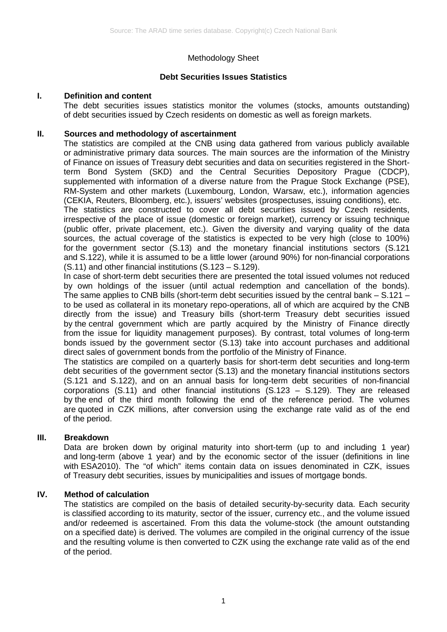## Methodology Sheet

### **Debt Securities Issues Statistics**

#### **I. Definition and content**

The debt securities issues statistics monitor the volumes (stocks, amounts outstanding) of debt securities issued by Czech residents on domestic as well as foreign markets.

#### **II. Sources and methodology of ascertainment**

The statistics are compiled at the CNB using data gathered from various publicly available or administrative primary data sources. The main sources are the information of the Ministry of Finance on issues of Treasury debt securities and data on securities registered in the Shortterm Bond System (SKD) and the Central Securities Depository Prague (CDCP), supplemented with information of a diverse nature from the Prague Stock Exchange (PSE), RM-System and other markets (Luxembourg, London, Warsaw, etc.), information agencies (CEKIA, Reuters, Bloomberg, etc.), issuers' websites (prospectuses, issuing conditions), etc.

The statistics are constructed to cover all debt securities issued by Czech residents, irrespective of the place of issue (domestic or foreign market), currency or issuing technique (public offer, private placement, etc.). Given the diversity and varying quality of the data sources, the actual coverage of the statistics is expected to be very high (close to 100%) for the government sector (S.13) and the monetary financial institutions sectors (S.121 and S.122), while it is assumed to be a little lower (around 90%) for non-financial corporations (S.11) and other financial institutions (S.123 – S.129).

In case of short-term debt securities there are presented the total issued volumes not reduced by own holdings of the issuer (until actual redemption and cancellation of the bonds). The same applies to CNB bills (short-term debt securities issued by the central bank  $-$  S.121  $$ to be used as collateral in its monetary repo-operations, all of which are acquired by the CNB directly from the issue) and Treasury bills (short-term Treasury debt securities issued by the central government which are partly acquired by the Ministry of Finance directly from the issue for liquidity management purposes). By contrast, total volumes of long-term bonds issued by the government sector (S.13) take into account purchases and additional direct sales of government bonds from the portfolio of the Ministry of Finance.

The statistics are compiled on a quarterly basis for short-term debt securities and long-term debt securities of the government sector (S.13) and the monetary financial institutions sectors (S.121 and S.122), and on an annual basis for long-term debt securities of non-financial corporations (S.11) and other financial institutions (S.123 – S.129). They are released by the end of the third month following the end of the reference period. The volumes are quoted in CZK millions, after conversion using the exchange rate valid as of the end of the period.

#### **III. Breakdown**

Data are broken down by original maturity into short-term (up to and including 1 year) and long-term (above 1 year) and by the economic sector of the issuer (definitions in line with ESA2010). The "of which" items contain data on issues denominated in CZK, issues of Treasury debt securities, issues by municipalities and issues of mortgage bonds.

#### **IV. Method of calculation**

The statistics are compiled on the basis of detailed security-by-security data. Each security is classified according to its maturity, sector of the issuer, currency etc., and the volume issued and/or redeemed is ascertained. From this data the volume-stock (the amount outstanding on a specified date) is derived. The volumes are compiled in the original currency of the issue and the resulting volume is then converted to CZK using the exchange rate valid as of the end of the period.